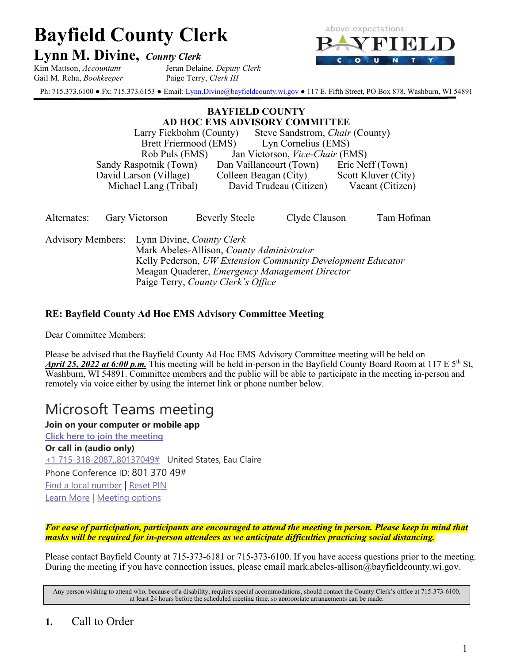# **Bayfield County Clerk**

# **Lynn M. Divine,** *County Clerk*

Kim Mattson, *Accountant* Jeran Delaine, *Deputy Clerk* Gail M. Reha, *Bookkeeper* Paige Terry, *Clerk III*



Ph: 715.373.6100 • Fx: 715.373.6153 • Email[: Lynn.Divine@bayfieldcounty.wi.gov](mailto:Lynn.Divine@bayfieldcounty.wi.gov) • 117 E. Fifth Street, PO Box 878, Washburn, WI 54891

#### **BAYFIELD COUNTY AD HOC EMS ADVISORY COMMITTEE**

Larry Fickbohm (County) Steve Sandstrom, *Chair* (County) Brett Friermood (EMS) Rob Puls (EMS) Jan Victorson, *Vice-Chair* (EMS) Sandy Raspotnik (Town) Dan Vaillancourt (Town) Eric Neff (Town) David Larson (Village) Colleen Beagan (City) Scott Kluver (City) Michael Lang (Tribal) David Trudeau (Citizen) Vacant (Citizen)

| Alternates:                                                                              |  | <b>Gary Victorson</b> | <b>Beverly Steele</b> | Clyde Clauson                                               | Tam Hofman |  |
|------------------------------------------------------------------------------------------|--|-----------------------|-----------------------|-------------------------------------------------------------|------------|--|
| Advisory Members: Lynn Divine, County Clerk<br>Mark Abeles-Allison, County Administrator |  |                       |                       |                                                             |            |  |
|                                                                                          |  |                       |                       | Kelly Pederson, UW Extension Community Development Educator |            |  |

Meagan Quaderer, *Emergency Management Director*

Paige Terry, *County Clerk's Office*

# **RE: Bayfield County Ad Hoc EMS Advisory Committee Meeting**

Dear Committee Members:

Please be advised that the Bayfield County Ad Hoc EMS Advisory Committee meeting will be held on *April 25, 2022 at 6:00 p.m.* This meeting will be held in-person in the Bayfield County Board Room at 117 E 5th St, Washburn, WI 54891. Committee members and the public will be able to participate in the meeting in-person and remotely via voice either by using the internet link or phone number below.

# Microsoft Teams meeting

**Join on your computer or mobile app [Click here to join the meeting](https://teams.microsoft.com/l/meetup-join/19%3ameeting_ZGZjNTI4MjktNzhmZC00ZjdiLWEzNDMtNWU1NjJiYzk2YzQ0%40thread.v2/0?context=%7b%22Tid%22%3a%22145ec30e-5769-40e2-8a4c-fe09ea9581bf%22%2c%22Oid%22%3a%2282510d21-9d58-49e1-b3f8-70058d4e9049%22%7d) Or call in (audio only)** [+1 715-318-2087,,80137049#](tel:+17153182087,,80137049# ) United States, Eau Claire Phone Conference ID: 801 370 49# [Find a local number](https://dialin.teams.microsoft.com/9b4f001a-1165-4cc7-9eb9-73599e1f4a29?id=80137049) | [Reset PIN](https://mysettings.lync.com/pstnconferencing) [Learn More](https://aka.ms/JoinTeamsMeeting) | [Meeting options](https://teams.microsoft.com/meetingOptions/?organizerId=82510d21-9d58-49e1-b3f8-70058d4e9049&tenantId=145ec30e-5769-40e2-8a4c-fe09ea9581bf&threadId=19_meeting_ZGZjNTI4MjktNzhmZC00ZjdiLWEzNDMtNWU1NjJiYzk2YzQ0@thread.v2&messageId=0&language=en-US)

*For ease of participation, participants are encouraged to attend the meeting in person. Please keep in mind that masks will be required for in-person attendees as we anticipate difficulties practicing social distancing.*

Please contact Bayfield County at 715-373-6181 or 715-373-6100. If you have access questions prior to the meeting. During the meeting if you have connection issues, please email mark.abeles-allison@bayfieldcounty.wi.gov.

Any person wishing to attend who, because of a disability, requires special accommodations, should contact the County Clerk's office at 715-373-6100, at least 24 hours before the scheduled meeting time, so appropriate arrangements can be made.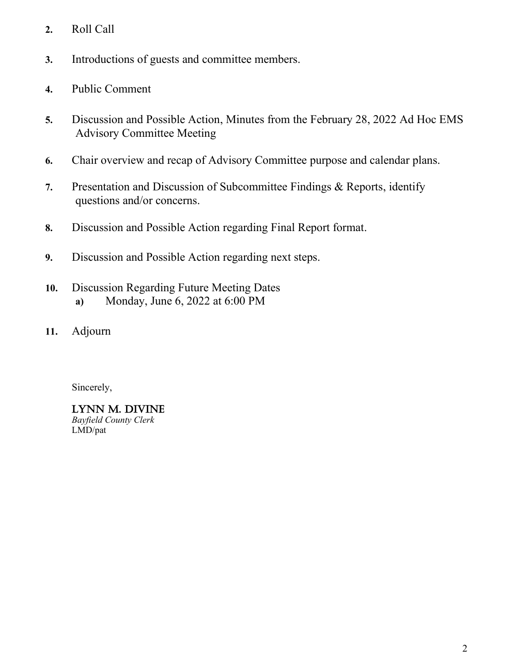- **2.** Roll Call
- **3.** Introductions of guests and committee members.
- **4.** Public Comment
- **5.** Discussion and Possible Action, Minutes from the February 28, 2022 Ad Hoc EMS Advisory Committee Meeting
- **6.** Chair overview and recap of Advisory Committee purpose and calendar plans.
- **7.** Presentation and Discussion of Subcommittee Findings & Reports, identify questions and/or concerns.
- **8.** Discussion and Possible Action regarding Final Report format.
- **9.** Discussion and Possible Action regarding next steps.
- **10.** Discussion Regarding Future Meeting Dates **a)** Monday, June 6, 2022 at 6:00 PM
- **11.** Adjourn

Sincerely,

# LYNN M. DIVINE

*Bayfield County Clerk* LMD/pat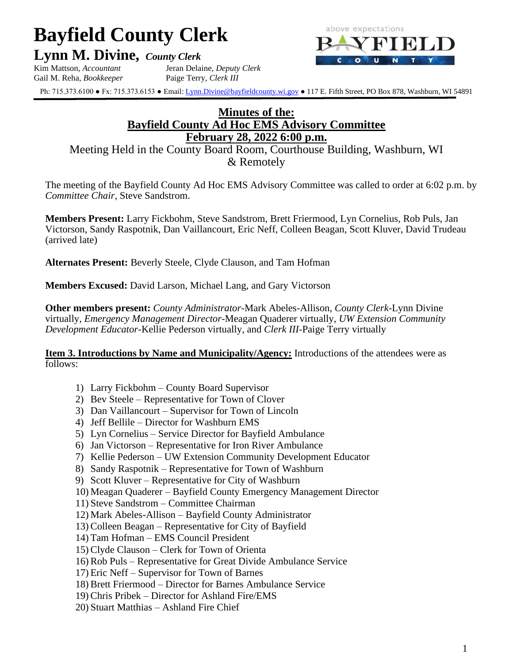# **Bayfield County Clerk**

**Lynn M. Divine,** *County Clerk*

Kim Mattson, *Accountant* Jeran Delaine, *Deputy Clerk* Gail M. Reha, *Bookkeeper* Paige Terry, *Clerk III*



Ph: 715.373.6100 ● Fx: 715.373.6153 ● Email[: Lynn.Divine@bayfieldcounty.wi.gov](mailto:Lynn.Divine@bayfieldcounty.wi.gov) ● 117 E. Fifth Street, PO Box 878, Washburn, WI 54891

# **Minutes of the: Bayfield County Ad Hoc EMS Advisory Committee February 28, 2022 6:00 p.m.**

Meeting Held in the County Board Room, Courthouse Building, Washburn, WI & Remotely

The meeting of the Bayfield County Ad Hoc EMS Advisory Committee was called to order at 6:02 p.m. by *Committee Chair,* Steve Sandstrom.

**Members Present:** Larry Fickbohm, Steve Sandstrom, Brett Friermood, Lyn Cornelius, Rob Puls, Jan Victorson, Sandy Raspotnik, Dan Vaillancourt, Eric Neff, Colleen Beagan, Scott Kluver, David Trudeau (arrived late)

**Alternates Present:** Beverly Steele, Clyde Clauson, and Tam Hofman

**Members Excused:** David Larson, Michael Lang, and Gary Victorson

**Other members present:** *County Administrator*-Mark Abeles-Allison, *County Clerk-*Lynn Divine virtually, *Emergency Management Director*-Meagan Quaderer virtually, *UW Extension Community Development Educator*-Kellie Pederson virtually, and *Clerk III*-Paige Terry virtually

**Item 3. Introductions by Name and Municipality/Agency:** Introductions of the attendees were as follows:

- 1) Larry Fickbohm County Board Supervisor
- 2) Bev Steele Representative for Town of Clover
- 3) Dan Vaillancourt Supervisor for Town of Lincoln
- 4) Jeff Bellile Director for Washburn EMS
- 5) Lyn Cornelius Service Director for Bayfield Ambulance
- 6) Jan Victorson Representative for Iron River Ambulance
- 7) Kellie Pederson UW Extension Community Development Educator
- 8) Sandy Raspotnik Representative for Town of Washburn
- 9) Scott Kluver Representative for City of Washburn
- 10) Meagan Quaderer Bayfield County Emergency Management Director
- 11) Steve Sandstrom Committee Chairman
- 12) Mark Abeles-Allison Bayfield County Administrator
- 13)Colleen Beagan Representative for City of Bayfield
- 14) Tam Hofman EMS Council President
- 15)Clyde Clauson Clerk for Town of Orienta
- 16)Rob Puls Representative for Great Divide Ambulance Service
- 17) Eric Neff Supervisor for Town of Barnes
- 18)Brett Friermood Director for Barnes Ambulance Service
- 19)Chris Pribek Director for Ashland Fire/EMS
- 20) Stuart Matthias Ashland Fire Chief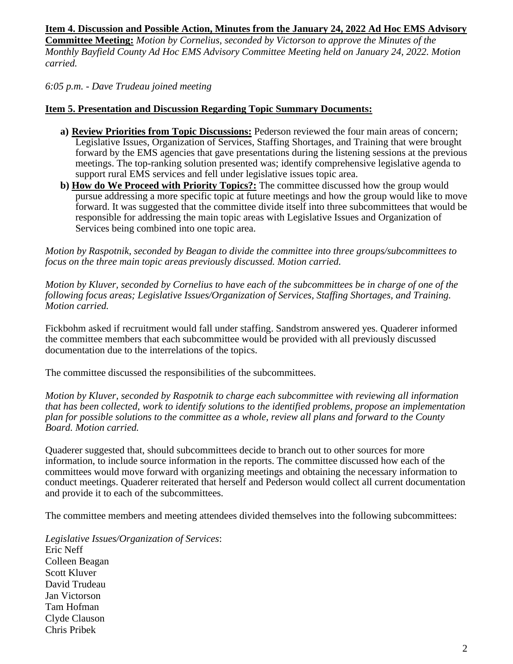# **Item 4. Discussion and Possible Action, Minutes from the January 24, 2022 Ad Hoc EMS Advisory**

**Committee Meeting:** *Motion by Cornelius, seconded by Victorson to approve the Minutes of the Monthly Bayfield County Ad Hoc EMS Advisory Committee Meeting held on January 24, 2022. Motion carried.*

*6:05 p.m. - Dave Trudeau joined meeting*

#### **Item 5. Presentation and Discussion Regarding Topic Summary Documents:**

- **a) Review Priorities from Topic Discussions:** Pederson reviewed the four main areas of concern; Legislative Issues, Organization of Services, Staffing Shortages, and Training that were brought forward by the EMS agencies that gave presentations during the listening sessions at the previous meetings. The top-ranking solution presented was; identify comprehensive legislative agenda to support rural EMS services and fell under legislative issues topic area.
- **b) How do We Proceed with Priority Topics?:** The committee discussed how the group would pursue addressing a more specific topic at future meetings and how the group would like to move forward. It was suggested that the committee divide itself into three subcommittees that would be responsible for addressing the main topic areas with Legislative Issues and Organization of Services being combined into one topic area.

*Motion by Raspotnik, seconded by Beagan to divide the committee into three groups/subcommittees to focus on the three main topic areas previously discussed. Motion carried.*

*Motion by Kluver, seconded by Cornelius to have each of the subcommittees be in charge of one of the following focus areas; Legislative Issues/Organization of Services, Staffing Shortages, and Training. Motion carried.*

Fickbohm asked if recruitment would fall under staffing. Sandstrom answered yes. Quaderer informed the committee members that each subcommittee would be provided with all previously discussed documentation due to the interrelations of the topics.

The committee discussed the responsibilities of the subcommittees.

*Motion by Kluver, seconded by Raspotnik to charge each subcommittee with reviewing all information that has been collected, work to identify solutions to the identified problems, propose an implementation plan for possible solutions to the committee as a whole, review all plans and forward to the County Board. Motion carried.*

Quaderer suggested that, should subcommittees decide to branch out to other sources for more information, to include source information in the reports. The committee discussed how each of the committees would move forward with organizing meetings and obtaining the necessary information to conduct meetings. Quaderer reiterated that herself and Pederson would collect all current documentation and provide it to each of the subcommittees.

The committee members and meeting attendees divided themselves into the following subcommittees:

*Legislative Issues/Organization of Services*: Eric Neff Colleen Beagan Scott Kluver David Trudeau Jan Victorson Tam Hofman Clyde Clauson Chris Pribek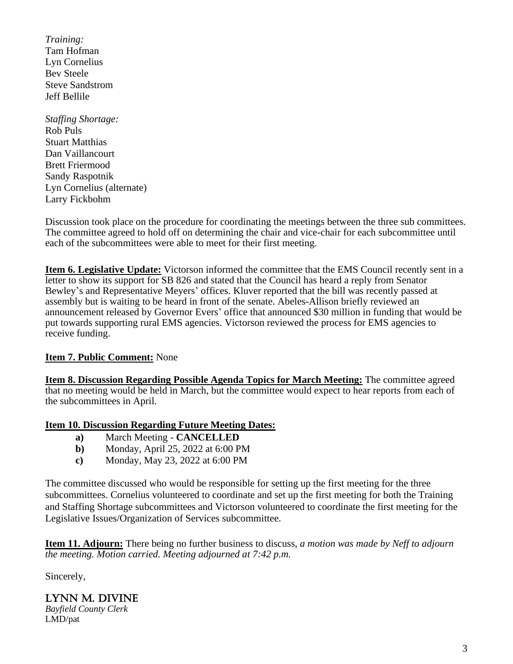*Training:* Tam Hofman Lyn Cornelius Bev Steele Steve Sandstrom Jeff Bellile

*Staffing Shortage:* Rob Puls Stuart Matthias Dan Vaillancourt Brett Friermood Sandy Raspotnik Lyn Cornelius (alternate) Larry Fickbohm

Discussion took place on the procedure for coordinating the meetings between the three sub committees. The committee agreed to hold off on determining the chair and vice-chair for each subcommittee until each of the subcommittees were able to meet for their first meeting.

**Item 6. Legislative Update:** Victorson informed the committee that the EMS Council recently sent in a letter to show its support for SB 826 and stated that the Council has heard a reply from Senator Bewley's and Representative Meyers' offices. Kluver reported that the bill was recently passed at assembly but is waiting to be heard in front of the senate. Abeles-Allison briefly reviewed an announcement released by Governor Evers' office that announced \$30 million in funding that would be put towards supporting rural EMS agencies. Victorson reviewed the process for EMS agencies to receive funding.

# **Item 7. Public Comment:** None

**Item 8. Discussion Regarding Possible Agenda Topics for March Meeting:** The committee agreed that no meeting would be held in March, but the committee would expect to hear reports from each of the subcommittees in April.

#### **Item 10. Discussion Regarding Future Meeting Dates:**

- **a)** March Meeting **CANCELLED**
- **b)** Monday, April 25, 2022 at 6:00 PM
- **c)** Monday, May 23, 2022 at 6:00 PM

The committee discussed who would be responsible for setting up the first meeting for the three subcommittees. Cornelius volunteered to coordinate and set up the first meeting for both the Training and Staffing Shortage subcommittees and Victorson volunteered to coordinate the first meeting for the Legislative Issues/Organization of Services subcommittee.

**Item 11. Adjourn:** There being no further business to discuss, *a motion was made by Neff to adjourn the meeting. Motion carried. Meeting adjourned at 7:42 p.m.*

Sincerely,

#### LYNN M. DIVINE *Bayfield County Clerk* LMD/pat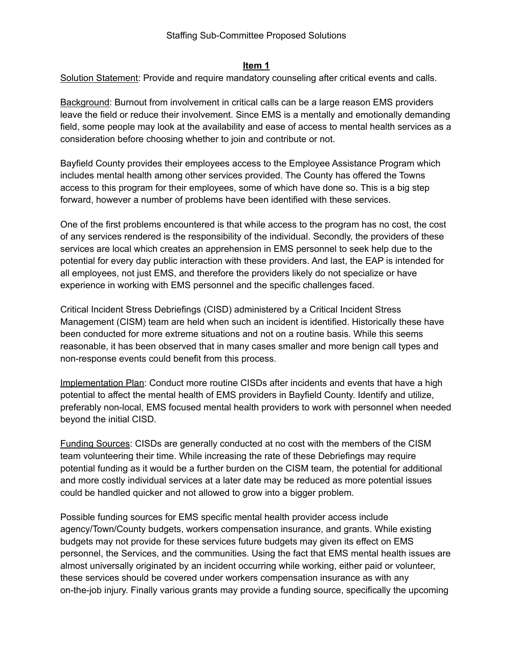### **Item 1**

Solution Statement: Provide and require mandatory counseling after critical events and calls.

Background: Burnout from involvement in critical calls can be a large reason EMS providers leave the field or reduce their involvement. Since EMS is a mentally and emotionally demanding field, some people may look at the availability and ease of access to mental health services as a consideration before choosing whether to join and contribute or not.

Bayfield County provides their employees access to the Employee Assistance Program which includes mental health among other services provided. The County has offered the Towns access to this program for their employees, some of which have done so. This is a big step forward, however a number of problems have been identified with these services.

One of the first problems encountered is that while access to the program has no cost, the cost of any services rendered is the responsibility of the individual. Secondly, the providers of these services are local which creates an apprehension in EMS personnel to seek help due to the potential for every day public interaction with these providers. And last, the EAP is intended for all employees, not just EMS, and therefore the providers likely do not specialize or have experience in working with EMS personnel and the specific challenges faced.

Critical Incident Stress Debriefings (CISD) administered by a Critical Incident Stress Management (CISM) team are held when such an incident is identified. Historically these have been conducted for more extreme situations and not on a routine basis. While this seems reasonable, it has been observed that in many cases smaller and more benign call types and non-response events could benefit from this process.

Implementation Plan: Conduct more routine CISDs after incidents and events that have a high potential to affect the mental health of EMS providers in Bayfield County. Identify and utilize, preferably non-local, EMS focused mental health providers to work with personnel when needed beyond the initial CISD.

Funding Sources: CISDs are generally conducted at no cost with the members of the CISM team volunteering their time. While increasing the rate of these Debriefings may require potential funding as it would be a further burden on the CISM team, the potential for additional and more costly individual services at a later date may be reduced as more potential issues could be handled quicker and not allowed to grow into a bigger problem.

Possible funding sources for EMS specific mental health provider access include agency/Town/County budgets, workers compensation insurance, and grants. While existing budgets may not provide for these services future budgets may given its effect on EMS personnel, the Services, and the communities. Using the fact that EMS mental health issues are almost universally originated by an incident occurring while working, either paid or volunteer, these services should be covered under workers compensation insurance as with any on-the-job injury. Finally various grants may provide a funding source, specifically the upcoming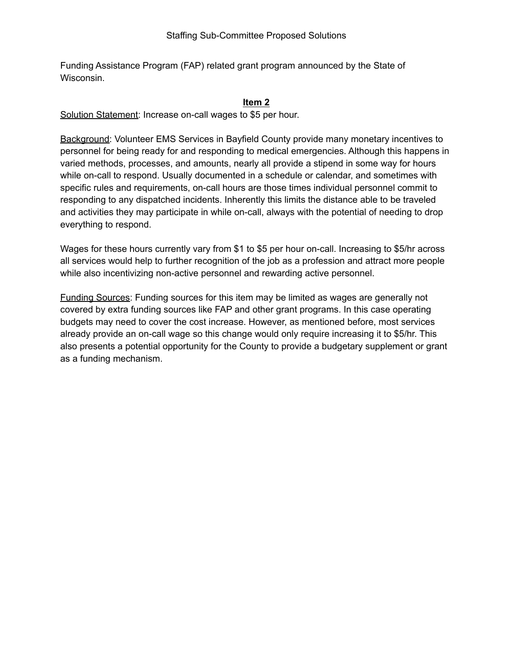Funding Assistance Program (FAP) related grant program announced by the State of Wisconsin.

#### **Item 2**

Solution Statement: Increase on-call wages to \$5 per hour.

Background: Volunteer EMS Services in Bayfield County provide many monetary incentives to personnel for being ready for and responding to medical emergencies. Although this happens in varied methods, processes, and amounts, nearly all provide a stipend in some way for hours while on-call to respond. Usually documented in a schedule or calendar, and sometimes with specific rules and requirements, on-call hours are those times individual personnel commit to responding to any dispatched incidents. Inherently this limits the distance able to be traveled and activities they may participate in while on-call, always with the potential of needing to drop everything to respond.

Wages for these hours currently vary from \$1 to \$5 per hour on-call. Increasing to \$5/hr across all services would help to further recognition of the job as a profession and attract more people while also incentivizing non-active personnel and rewarding active personnel.

Funding Sources: Funding sources for this item may be limited as wages are generally not covered by extra funding sources like FAP and other grant programs. In this case operating budgets may need to cover the cost increase. However, as mentioned before, most services already provide an on-call wage so this change would only require increasing it to \$5/hr. This also presents a potential opportunity for the County to provide a budgetary supplement or grant as a funding mechanism.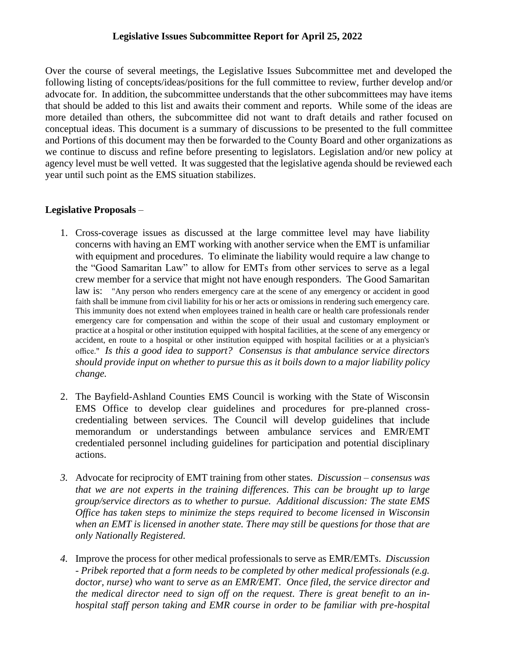### **Legislative Issues Subcommittee Report for April 25, 2022**

Over the course of several meetings, the Legislative Issues Subcommittee met and developed the following listing of concepts/ideas/positions for the full committee to review, further develop and/or advocate for. In addition, the subcommittee understands that the other subcommittees may have items that should be added to this list and awaits their comment and reports. While some of the ideas are more detailed than others, the subcommittee did not want to draft details and rather focused on conceptual ideas. This document is a summary of discussions to be presented to the full committee and Portions of this document may then be forwarded to the County Board and other organizations as we continue to discuss and refine before presenting to legislators. Legislation and/or new policy at agency level must be well vetted. It was suggested that the legislative agenda should be reviewed each year until such point as the EMS situation stabilizes.

# **Legislative Proposals** –

- 1. Cross-coverage issues as discussed at the large committee level may have liability concerns with having an EMT working with another service when the EMT is unfamiliar with equipment and procedures. To eliminate the liability would require a law change to the "Good Samaritan Law" to allow for EMTs from other services to serve as a legal crew member for a service that might not have enough responders. The Good Samaritan law is: "Any person who renders emergency care at the scene of any emergency or accident in good faith shall be immune from civil liability for his or her acts or omissions in rendering such emergency care. This immunity does not extend when employees trained in health care or health care professionals render emergency care for compensation and within the scope of their usual and customary employment or practice at a hospital or other institution equipped with hospital facilities, at the scene of any emergency or accident, en route to a hospital or other institution equipped with hospital facilities or at a physician's office." *Is this a good idea to support? Consensus is that ambulance service directors should provide input on whether to pursue this as it boils down to a major liability policy change.*
- 2. The Bayfield-Ashland Counties EMS Council is working with the State of Wisconsin EMS Office to develop clear guidelines and procedures for pre-planned crosscredentialing between services. The Council will develop guidelines that include memorandum or understandings between ambulance services and EMR/EMT credentialed personnel including guidelines for participation and potential disciplinary actions.
- *3.* Advocate for reciprocity of EMT training from other states. *Discussion – consensus was that we are not experts in the training differences. This can be brought up to large group/service directors as to whether to pursue. Additional discussion: The state EMS Office has taken steps to minimize the steps required to become licensed in Wisconsin when an EMT is licensed in another state. There may still be questions for those that are only Nationally Registered.*
- *4.* Improve the process for other medical professionals to serve as EMR/EMTs. *Discussion - Pribek reported that a form needs to be completed by other medical professionals (e.g. doctor, nurse) who want to serve as an EMR/EMT. Once filed, the service director and the medical director need to sign off on the request. There is great benefit to an inhospital staff person taking and EMR course in order to be familiar with pre-hospital*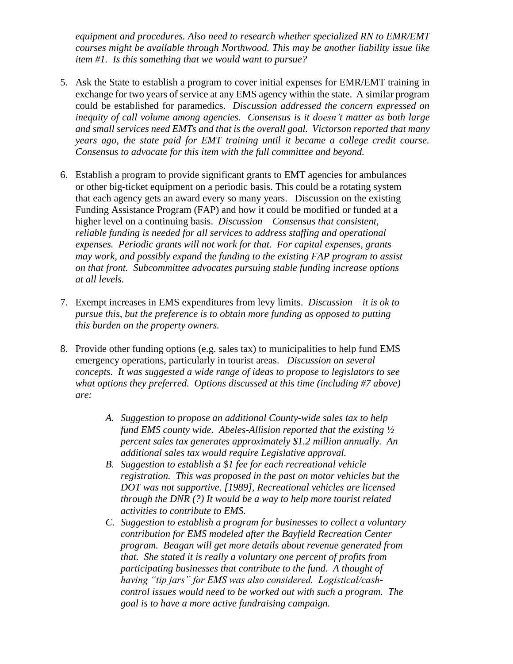*equipment and procedures. Also need to research whether specialized RN to EMR/EMT courses might be available through Northwood. This may be another liability issue like item #1. Is this something that we would want to pursue?* 

- 5. Ask the State to establish a program to cover initial expenses for EMR/EMT training in exchange for two years of service at any EMS agency within the state. A similar program could be established for paramedics. *Discussion addressed the concern expressed on inequity of call volume among agencies. Consensus is it doesn't matter as both large and small services need EMTs and that is the overall goal. Victorson reported that many years ago, the state paid for EMT training until it became a college credit course. Consensus to advocate for this item with the full committee and beyond.*
- 6. Establish a program to provide significant grants to EMT agencies for ambulances or other big-ticket equipment on a periodic basis. This could be a rotating system that each agency gets an award every so many years. Discussion on the existing Funding Assistance Program (FAP) and how it could be modified or funded at a higher level on a continuing basis. *Discussion – Consensus that consistent, reliable funding is needed for all services to address staffing and operational expenses. Periodic grants will not work for that. For capital expenses, grants may work, and possibly expand the funding to the existing FAP program to assist on that front. Subcommittee advocates pursuing stable funding increase options at all levels.*
- 7. Exempt increases in EMS expenditures from levy limits. *Discussion – it is ok to pursue this, but the preference is to obtain more funding as opposed to putting this burden on the property owners.*
- 8. Provide other funding options (e.g. sales tax) to municipalities to help fund EMS emergency operations, particularly in tourist areas. *Discussion on several concepts. It was suggested a wide range of ideas to propose to legislators to see what options they preferred. Options discussed at this time (including #7 above) are:*
	- *A. Suggestion to propose an additional County-wide sales tax to help fund EMS county wide. Abeles-Allision reported that the existing ½ percent sales tax generates approximately \$1.2 million annually. An additional sales tax would require Legislative approval.*
	- *B. Suggestion to establish a \$1 fee for each recreational vehicle registration. This was proposed in the past on motor vehicles but the DOT was not supportive. [1989], Recreational vehicles are licensed through the DNR (?) It would be a way to help more tourist related activities to contribute to EMS.*
	- *C. Suggestion to establish a program for businesses to collect a voluntary contribution for EMS modeled after the Bayfield Recreation Center program. Beagan will get more details about revenue generated from that. She stated it is really a voluntary one percent of profits from participating businesses that contribute to the fund. A thought of having "tip jars" for EMS was also considered. Logistical/cashcontrol issues would need to be worked out with such a program. The goal is to have a more active fundraising campaign.*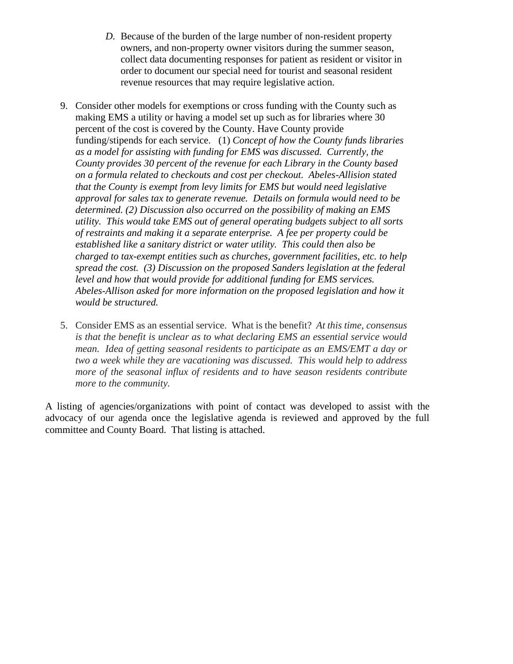- *D.* Because of the burden of the large number of non-resident property owners, and non-property owner visitors during the summer season, collect data documenting responses for patient as resident or visitor in order to document our special need for tourist and seasonal resident revenue resources that may require legislative action.
- 9. Consider other models for exemptions or cross funding with the County such as making EMS a utility or having a model set up such as for libraries where 30 percent of the cost is covered by the County. Have County provide funding/stipends for each service. (1) *Concept of how the County funds libraries as a model for assisting with funding for EMS was discussed. Currently, the County provides 30 percent of the revenue for each Library in the County based on a formula related to checkouts and cost per checkout. Abeles-Allision stated that the County is exempt from levy limits for EMS but would need legislative approval for sales tax to generate revenue. Details on formula would need to be determined. (2) Discussion also occurred on the possibility of making an EMS utility. This would take EMS out of general operating budgets subject to all sorts of restraints and making it a separate enterprise. A fee per property could be established like a sanitary district or water utility. This could then also be charged to tax-exempt entities such as churches, government facilities, etc. to help spread the cost. (3) Discussion on the proposed Sanders legislation at the federal level and how that would provide for additional funding for EMS services. Abeles-Allison asked for more information on the proposed legislation and how it would be structured.*
- 5. Consider EMS as an essential service. What is the benefit? *At this time, consensus is that the benefit is unclear as to what declaring EMS an essential service would mean. Idea of getting seasonal residents to participate as an EMS/EMT a day or two a week while they are vacationing was discussed. This would help to address more of the seasonal influx of residents and to have season residents contribute more to the community.*

A listing of agencies/organizations with point of contact was developed to assist with the advocacy of our agenda once the legislative agenda is reviewed and approved by the full committee and County Board. That listing is attached.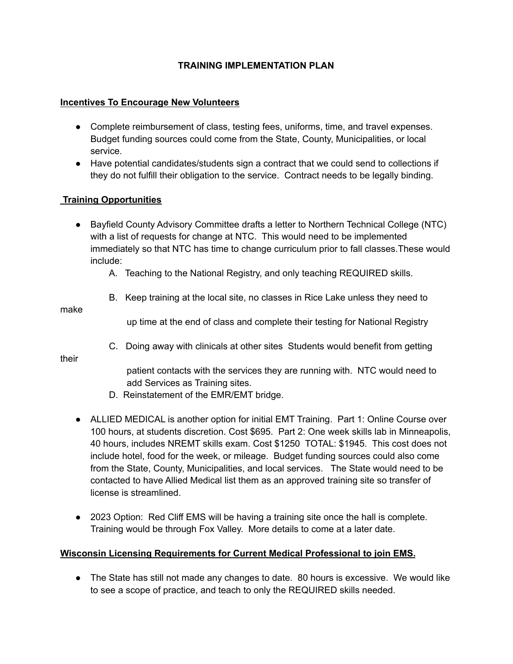# **TRAINING IMPLEMENTATION PLAN**

#### **Incentives To Encourage New Volunteers**

- Complete reimbursement of class, testing fees, uniforms, time, and travel expenses. Budget funding sources could come from the State, County, Municipalities, or local service.
- Have potential candidates/students sign a contract that we could send to collections if they do not fulfill their obligation to the service. Contract needs to be legally binding.

#### **Training Opportunities**

- Bayfield County Advisory Committee drafts a letter to Northern Technical College (NTC) with a list of requests for change at NTC. This would need to be implemented immediately so that NTC has time to change curriculum prior to fall classes.These would include:
	- A. Teaching to the National Registry, and only teaching REQUIRED skills.
	- B. Keep training at the local site, no classes in Rice Lake unless they need to

make

up time at the end of class and complete their testing for National Registry

C. Doing away with clinicals at other sites Students would benefit from getting

their

patient contacts with the services they are running with. NTC would need to add Services as Training sites.

- D. Reinstatement of the EMR/EMT bridge.
- ALLIED MEDICAL is another option for initial EMT Training. Part 1: Online Course over 100 hours, at students discretion. Cost \$695. Part 2: One week skills lab in Minneapolis, 40 hours, includes NREMT skills exam. Cost \$1250 TOTAL: \$1945. This cost does not include hotel, food for the week, or mileage. Budget funding sources could also come from the State, County, Municipalities, and local services. The State would need to be contacted to have Allied Medical list them as an approved training site so transfer of license is streamlined.
- 2023 Option: Red Cliff EMS will be having a training site once the hall is complete. Training would be through Fox Valley. More details to come at a later date.

#### **Wisconsin Licensing Requirements for Current Medical Professional to join EMS.**

• The State has still not made any changes to date. 80 hours is excessive. We would like to see a scope of practice, and teach to only the REQUIRED skills needed.